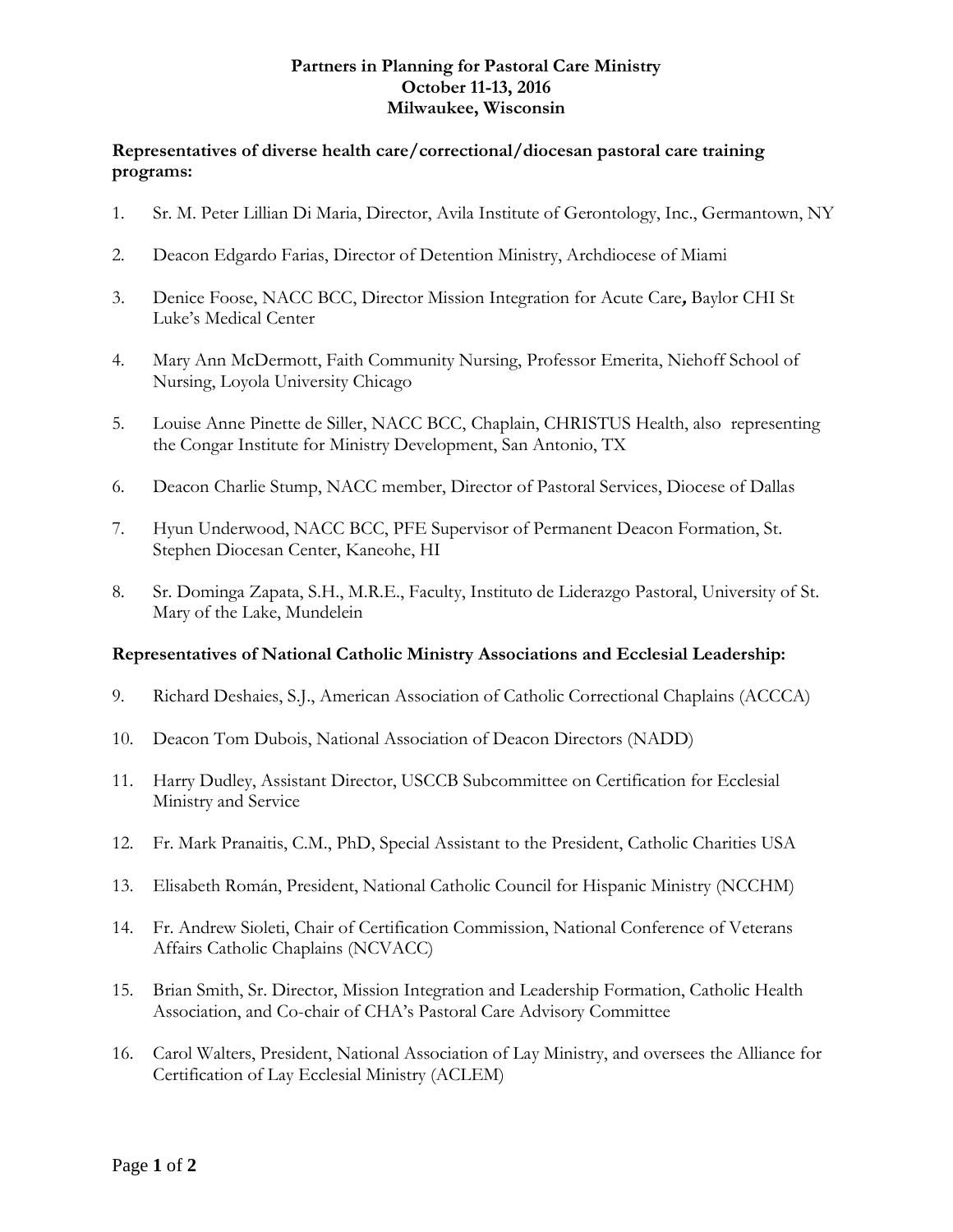### **Partners in Planning for Pastoral Care Ministry October 11-13, 2016 Milwaukee, Wisconsin**

### **Representatives of diverse health care/correctional/diocesan pastoral care training programs:**

- 1. Sr. M. Peter Lillian Di Maria, Director, Avila Institute of Gerontology, Inc., Germantown, NY
- 2. Deacon Edgardo Farias, Director of Detention Ministry, Archdiocese of Miami
- 3. Denice Foose, NACC BCC, Director Mission [Integration](https://www.linkedin.com/title/director-mission-integration-for-acute-care?trk=mprofile_title) for Acute Care**,** [Baylor](https://www.linkedin.com/vsearch/p?company=Baylor+St+Lukes+Medical+Center&trk=prof-exp-company-name) CHI St Luke's [Medical](https://www.linkedin.com/vsearch/p?company=Baylor+St+Lukes+Medical+Center&trk=prof-exp-company-name) Center
- 4. Mary Ann McDermott, Faith Community Nursing, Professor Emerita, Niehoff School of Nursing, Loyola University Chicago
- 5. Louise Anne Pinette de Siller, NACC BCC, Chaplain, CHRISTUS Health, also representing the Congar Institute for Ministry Development, San Antonio, TX
- 6. Deacon Charlie Stump, NACC member, Director of Pastoral Services, Diocese of Dallas
- 7. Hyun Underwood, NACC BCC, PFE Supervisor of Permanent Deacon Formation, St. Stephen Diocesan Center, Kaneohe, HI
- 8. Sr. Dominga Zapata, S.H., M.R.E., Faculty, Instituto de Liderazgo Pastoral, University of St. Mary of the Lake, Mundelein

#### **Representatives of National Catholic Ministry Associations and Ecclesial Leadership:**

- 9. Richard Deshaies, S.J., American Association of Catholic Correctional Chaplains (ACCCA)
- 10. Deacon Tom Dubois, National Association of Deacon Directors (NADD)
- 11. Harry Dudley, Assistant Director, USCCB Subcommittee on Certification for Ecclesial Ministry and Service
- 12. Fr. Mark Pranaitis, C.M., PhD, Special Assistant to the President, Catholic Charities USA
- 13. Elisabeth Román, President, National Catholic Council for Hispanic Ministry (NCCHM)
- 14. Fr. Andrew Sioleti, Chair of Certification Commission, National Conference of Veterans Affairs Catholic Chaplains (NCVACC)
- 15. Brian Smith, Sr. Director, Mission Integration and Leadership Formation, Catholic Health Association, and Co-chair of CHA's Pastoral Care Advisory Committee
- 16. Carol Walters, President, National Association of Lay Ministry, and oversees the Alliance for Certification of Lay Ecclesial Ministry (ACLEM)